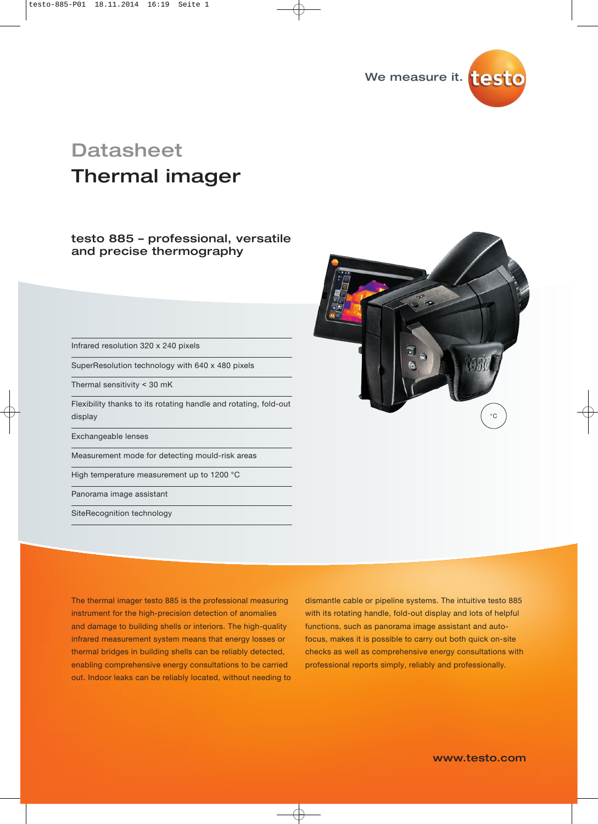

# Thermal imager **Datasheet**

### testo 885 – professional, versatile and precise thermography

Infrared resolution 320 x 240 pixels

SuperResolution technology with 640 x 480 pixels

Thermal sensitivity ˂ 30 mK

Flexibility thanks to its rotating handle and rotating, fold-out display

Exchangeable lenses

Measurement mode for detecting mould-risk areas

High temperature measurement up to 1200 °C

Panorama image assistant

SiteRecognition technology



The thermal imager testo 885 is the professional measuring instrument for the high-precision detection of anomalies and damage to building shells or interiors. The high-quality infrared measurement system means that energy losses or thermal bridges in building shells can be reliably detected, enabling comprehensive energy consultations to be carried out. Indoor leaks can be reliably located, without needing to dismantle cable or pipeline systems. The intuitive testo 885 with its rotating handle, fold-out display and lots of helpful functions, such as panorama image assistant and autofocus, makes it is possible to carry out both quick on-site checks as well as comprehensive energy consultations with professional reports simply, reliably and professionally.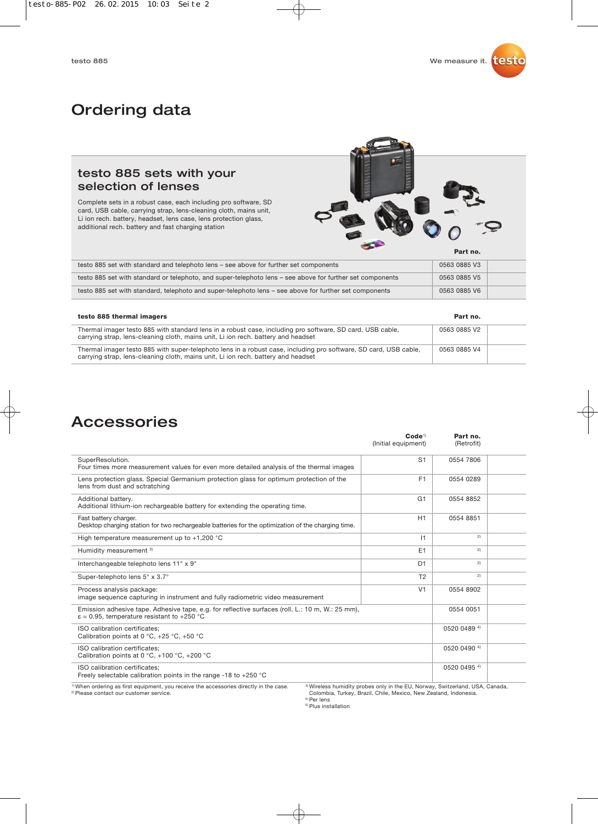## Ordering data

### testo 885 sets with your selection of lenses

Complete sets in a robust case, each including pro software, SD card, USB cable, carrying strap, lens-cleaning cloth, mains unit, Li ion rech. battery, headset, lens case, lens protection glass, additional rech. battery and fast charging station



| testo 885 set with standard and telephoto lens - see above for further set components                     | 0563 0885 V3 |  |
|-----------------------------------------------------------------------------------------------------------|--------------|--|
| testo 885 set with standard or telephoto, and super-telephoto lens - see above for further set components | 0563 0885 V5 |  |
| testo 885 set with standard, telephoto and super-telephoto lens – see above for further set components    | 0563 0885 V6 |  |
|                                                                                                           |              |  |

#### **testo 885 thermal imagers Part no.**

| Thermal imager testo 885 with standard lens in a robust case, including pro software, SD card, USB cable,<br>carrying strap, lens-cleaning cloth, mains unit, Li ion rech, battery and headset        | 0563 0885 V2 |  |
|-------------------------------------------------------------------------------------------------------------------------------------------------------------------------------------------------------|--------------|--|
| Thermal imager testo 885 with super-telephoto lens in a robust case, including pro software, SD card, USB cable,<br>carrying strap, lens-cleaning cloth, mains unit, Li ion rech. battery and headset | 0563 0885 V4 |  |

### Accessories

|                                                                                                                                                         | Code <sup>1</sup><br>(Initial equipment) | Part no.<br>(Retrofit) |  |
|---------------------------------------------------------------------------------------------------------------------------------------------------------|------------------------------------------|------------------------|--|
| SuperResolution.<br>Four times more measurement values for even more detailed analysis of the thermal images                                            | S <sub>1</sub>                           | 0554 7806              |  |
| Lens protection glass. Special Germanium protection glass for optimum protection of the<br>lens from dust and sctratching                               | F <sub>1</sub>                           | 0554 0289              |  |
| Additional battery.<br>Additional lithium-ion rechargeable battery for extending the operating time.                                                    | G1                                       | 0554 8852              |  |
| Fast battery charger.<br>Desktop charging station for two rechargeable batteries for the optimization of the charging time.                             | H1                                       | 0554 8851              |  |
| High temperature measurement up to $+1,200$ °C                                                                                                          | 11                                       | 2)                     |  |
| Humidity measurement 3)                                                                                                                                 | E1                                       | 2)                     |  |
| Interchangeable telephoto lens 11° x 9°                                                                                                                 | D <sub>1</sub>                           | 2)                     |  |
| Super-telephoto lens 5° x 3.7°                                                                                                                          | T <sub>2</sub>                           | 2)                     |  |
| Process analysis package:<br>image sequence capturing in instrument and fully radiometric video measurement                                             | V <sub>1</sub>                           | 0554 8902              |  |
| Emission adhesive tape. Adhesive tape, e.g. for reflective surfaces (roll, L.: 10 m, W.: 25 mm),<br>$\epsilon$ = 0.95, temperature resistant to +250 °C |                                          | 0554 0051              |  |
| ISO calibration certificates:<br>Calibration points at 0 °C, +25 °C, +50 °C                                                                             |                                          | 0520 0489 4)           |  |
| ISO calibration certificates:<br>Calibration points at 0 °C, +100 °C, +200 °C                                                                           |                                          | 0520 0490 4)           |  |
| ISO calibration certificates;<br>Freely selectable calibration points in the range -18 to +250 $^{\circ}$ C                                             |                                          | 0520 0495 4)           |  |

 $^{\rm 1)}$ When ordering as first equipment, you receive the accessories directly in the case.<br><sup>2)</sup> Please contact our customer service.

3) Wireless humidity probes only in the EU, Norway, Switzerland, USA, Canada, Colombia, Turkey, Brazil, Chile, Mexico, New Zealand, Indonesia.

<sup>4)</sup> Per lens<br><sup>5)</sup> Plus installation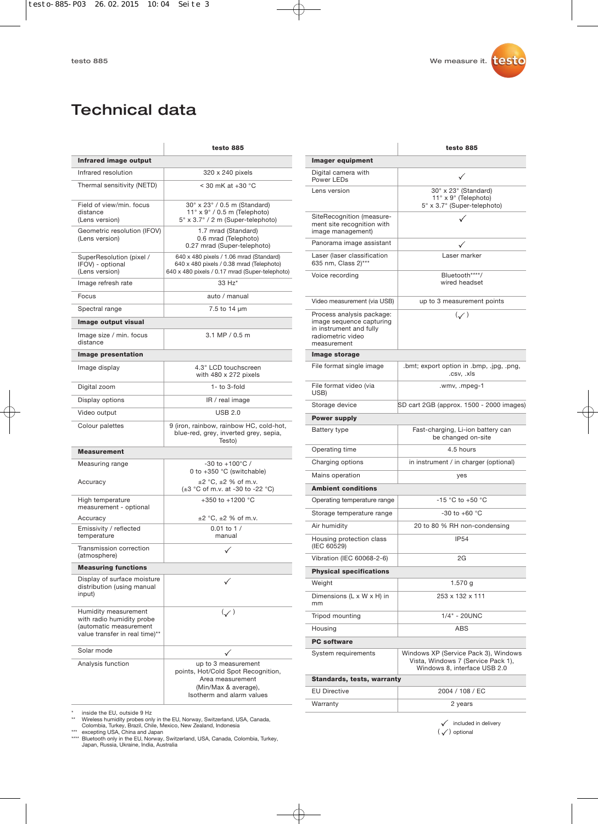## Technical data

|                                                                                                               | testo 885                                                                                                                             |
|---------------------------------------------------------------------------------------------------------------|---------------------------------------------------------------------------------------------------------------------------------------|
| Infrared image output                                                                                         |                                                                                                                                       |
| Infrared resolution                                                                                           | 320 x 240 pixels                                                                                                                      |
| Thermal sensitivity (NETD)                                                                                    | $<$ 30 mK at +30 $^{\circ}$ C                                                                                                         |
| Field of view/min, focus<br>distance<br>(Lens version)                                                        | 30° x 23° / 0.5 m (Standard)<br>$11^\circ \times 9^\circ / 0.5$ m (Telephoto)<br>5° x 3.7° / 2 m (Super-telephoto)                    |
| Geometric resolution (IFOV)<br>(Lens version)                                                                 | 1.7 mrad (Standard)<br>0.6 mrad (Telephoto)<br>0.27 mrad (Super-telephoto)                                                            |
| SuperResolution (pixel /<br>IFOV) - optional<br>(Lens version)                                                | 640 x 480 pixels / 1.06 mrad (Standard)<br>640 x 480 pixels / 0.38 mrad (Telephoto)<br>640 x 480 pixels / 0.17 mrad (Super-telephoto) |
| Image refresh rate                                                                                            | 33 Hz*                                                                                                                                |
| Focus                                                                                                         | auto / manual                                                                                                                         |
| Spectral range                                                                                                | 7.5 to 14 µm                                                                                                                          |
| Image output visual                                                                                           |                                                                                                                                       |
| Image size / min. focus<br>distance                                                                           | 3.1 MP / 0.5 m                                                                                                                        |
| Image presentation                                                                                            |                                                                                                                                       |
| Image display                                                                                                 | 4.3" LCD touchscreen<br>with 480 x 272 pixels                                                                                         |
| Digital zoom                                                                                                  | $1 -$ to $3$ -fold                                                                                                                    |
| Display options                                                                                               | IR / real image                                                                                                                       |
| Video output                                                                                                  | USB 2.0                                                                                                                               |
| Colour palettes                                                                                               | 9 (iron, rainbow, rainbow HC, cold-hot,<br>blue-red, grey, inverted grey, sepia,<br>Testo)                                            |
| <b>Measurement</b>                                                                                            |                                                                                                                                       |
| Measuring range                                                                                               | $-30$ to $+100^{\circ}$ C /<br>0 to $+350$ °C (switchable)                                                                            |
| Accuracy                                                                                                      | $\pm 2$ °C, $\pm 2$ % of m.v.<br>$(\pm 3 \degree C \circ f \circ m.v.$ at -30 to -22 $\degree C$ )                                    |
| High temperature<br>measurement - optional                                                                    | +350 to +1200 $^{\circ}$ C                                                                                                            |
| Accuracy                                                                                                      | $\pm 2$ °C, $\pm 2$ % of m.v.<br>$0.01$ to 1 /                                                                                        |
| Emissivity / reflected<br>temperature                                                                         | manual                                                                                                                                |
| Transmission correction<br>(atmosphere)                                                                       |                                                                                                                                       |
| <b>Measuring functions</b>                                                                                    |                                                                                                                                       |
| Display of surface moisture<br>distribution (using manual<br>input)                                           |                                                                                                                                       |
| Humidity measurement<br>with radio humidity probe<br>(automatic measurement<br>value transfer in real time)** | $(\mathcal{S})$                                                                                                                       |
| Solar mode                                                                                                    |                                                                                                                                       |
| Analysis function                                                                                             | up to 3 measurement<br>points, Hot/Cold Spot Recognition,<br>Area measurement<br>(Min/Max & average),<br>Isotherm and alarm values    |

|                                                                                                                      | testo 885                                                                                                  |  |
|----------------------------------------------------------------------------------------------------------------------|------------------------------------------------------------------------------------------------------------|--|
| Imager equipment                                                                                                     |                                                                                                            |  |
| Digital camera with<br>Power LEDs                                                                                    | ✓                                                                                                          |  |
| Lens version                                                                                                         | 30° x 23° (Standard)<br>11° x 9° (Telephoto)<br>5° x 3.7° (Super-telephoto)                                |  |
| SiteRecognition (measure-<br>ment site recognition with<br>image management)                                         |                                                                                                            |  |
| Panorama image assistant                                                                                             |                                                                                                            |  |
| Laser (laser classification<br>635 nm, Class 2)***                                                                   | Laser marker                                                                                               |  |
| Voice recording                                                                                                      | Bluetooth****/<br>wired headset                                                                            |  |
| Video measurement (via USB)                                                                                          | up to 3 measurement points                                                                                 |  |
| Process analysis package:<br>image sequence capturing<br>in instrument and fully<br>radiometric video<br>measurement | $(\checkmark)$                                                                                             |  |
| Image storage                                                                                                        |                                                                                                            |  |
| File format single image                                                                                             | .bmt; export option in .bmp, .jpg, .png,<br>.csv. .xls                                                     |  |
| File format video (via<br>USB)                                                                                       | .wmv, .mpeg-1                                                                                              |  |
| Storage device                                                                                                       | SD cart 2GB (approx. 1500 - 2000 images)                                                                   |  |
| <b>Power supply</b>                                                                                                  |                                                                                                            |  |
| Battery type                                                                                                         | Fast-charging, Li-ion battery can<br>be changed on-site                                                    |  |
| Operating time                                                                                                       | 4.5 hours                                                                                                  |  |
| Charging options                                                                                                     | in instrument / in charger (optional)                                                                      |  |
| Mains operation                                                                                                      | yes                                                                                                        |  |
| <b>Ambient conditions</b>                                                                                            |                                                                                                            |  |
| Operating temperature range                                                                                          | $-15$ °C to $+50$ °C                                                                                       |  |
| Storage temperature range                                                                                            | $-30$ to $+60$ °C                                                                                          |  |
| Air humidity                                                                                                         | 20 to 80 % RH non-condensing                                                                               |  |
| Housing protection class<br>(IEC 60529)                                                                              | <b>IP54</b>                                                                                                |  |
| Vibration (IEC 60068-2-6)                                                                                            | 2G                                                                                                         |  |
| <b>Physical specifications</b>                                                                                       |                                                                                                            |  |
| Weight                                                                                                               | 1.570 g                                                                                                    |  |
| Dimensions (L x W x H) in<br>mm                                                                                      | 253 x 132 x 111                                                                                            |  |
| Tripod mounting                                                                                                      | 1/4" - 20UNC                                                                                               |  |
| Housing                                                                                                              | ABS                                                                                                        |  |
| <b>PC software</b>                                                                                                   |                                                                                                            |  |
| System requirements                                                                                                  | Windows XP (Service Pack 3), Windows<br>Vista, Windows 7 (Service Pack 1),<br>Windows 8, interface USB 2.0 |  |
| <b>Standards, tests, warranty</b>                                                                                    |                                                                                                            |  |
| <b>EU Directive</b>                                                                                                  | 2004 / 108 / EC                                                                                            |  |
| Warranty                                                                                                             | 2 years                                                                                                    |  |

\* inside the EU, outside 9 Hz<br>\*\* Wreless humidity probes only in the EU, Norway, Switzerland, USA, Canada,<br>\*\* Wreless humidity probes only in the EU, Norway, Switzerland, Indonesia<br>\*\*\* excepting USA, China and Japan<br>\*\*\* Bl

 $\checkmark$  included in delivery  $(\sqrt{})$  optional